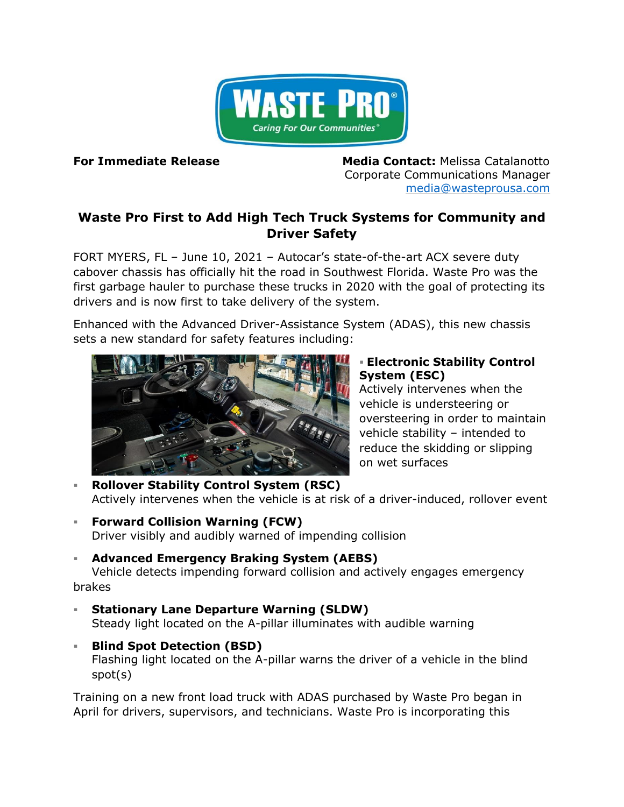

**For Immediate Release Media Contact:** Melissa Catalanotto Corporate Communications Manager [media@wasteprousa.com](mailto:media@wasteprousa.com)

## **Waste Pro First to Add High Tech Truck Systems for Community and Driver Safety**

FORT MYERS, FL – June 10, 2021 – Autocar's state-of-the-art ACX severe duty cabover chassis has officially hit the road in Southwest Florida. Waste Pro was the first garbage hauler to purchase these trucks in 2020 with the goal of protecting its drivers and is now first to take delivery of the system.

Enhanced with the Advanced Driver-Assistance System (ADAS), this new chassis sets a new standard for safety features including:



## ▪ **Electronic Stability Control System (ESC)**

Actively intervenes when the vehicle is understeering or oversteering in order to maintain vehicle stability – intended to reduce the skidding or slipping on wet surfaces

- **Rollover Stability Control System (RSC)** Actively intervenes when the vehicle is at risk of a driver-induced, rollover event
- **Forward Collision Warning (FCW)**  Driver visibly and audibly warned of impending collision
- **Advanced Emergency Braking System (AEBS)**

Vehicle detects impending forward collision and actively engages emergency brakes

- **Stationary Lane Departure Warning (SLDW)** Steady light located on the A-pillar illuminates with audible warning
- **Blind Spot Detection (BSD)**  Flashing light located on the A-pillar warns the driver of a vehicle in the blind spot(s)

Training on a new front load truck with ADAS purchased by Waste Pro began in April for drivers, supervisors, and technicians. Waste Pro is incorporating this